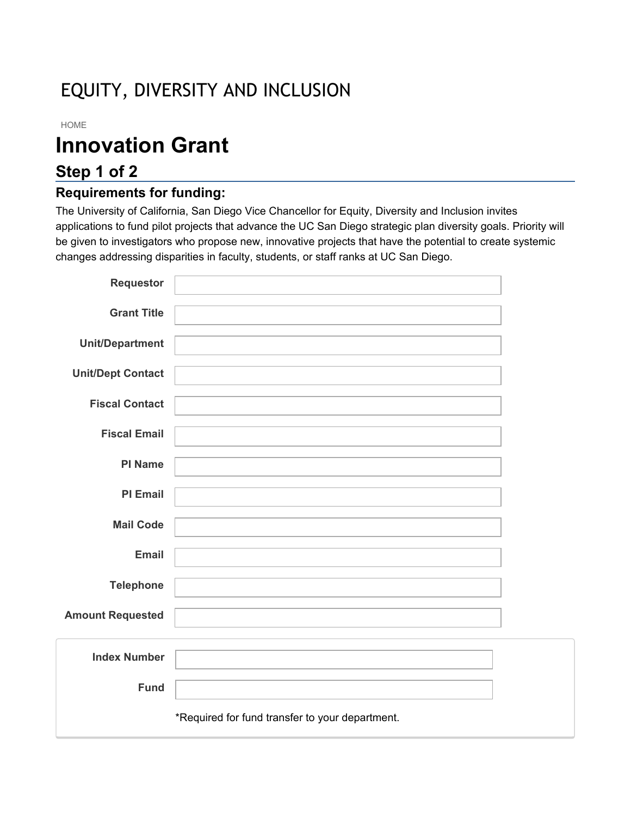# EQUITY, DIVERSITY AND INCLUSION

#### HOME

# **Innovation Grant**

# **Step 1 of 2**

### **Requirements for funding:**

The University of California, San Diego Vice Chancellor for Equity, Diversity and Inclusion invites applications to fund pilot projects that advance the UC San Diego strategic plan diversity goals. Priority will be given to investigators who propose new, innovative projects that have the potential to create systemic changes addressing disparities in faculty, students, or staff ranks at UC San Diego.

| Requestor                |                                                 |  |
|--------------------------|-------------------------------------------------|--|
| <b>Grant Title</b>       |                                                 |  |
|                          |                                                 |  |
| <b>Unit/Department</b>   |                                                 |  |
| <b>Unit/Dept Contact</b> |                                                 |  |
| <b>Fiscal Contact</b>    |                                                 |  |
|                          |                                                 |  |
| <b>Fiscal Email</b>      |                                                 |  |
| <b>PI Name</b>           |                                                 |  |
| <b>PI Email</b>          |                                                 |  |
| <b>Mail Code</b>         |                                                 |  |
|                          |                                                 |  |
| <b>Email</b>             |                                                 |  |
| <b>Telephone</b>         |                                                 |  |
| <b>Amount Requested</b>  |                                                 |  |
|                          |                                                 |  |
| <b>Index Number</b>      |                                                 |  |
| <b>Fund</b>              |                                                 |  |
|                          |                                                 |  |
|                          | *Required for fund transfer to your department. |  |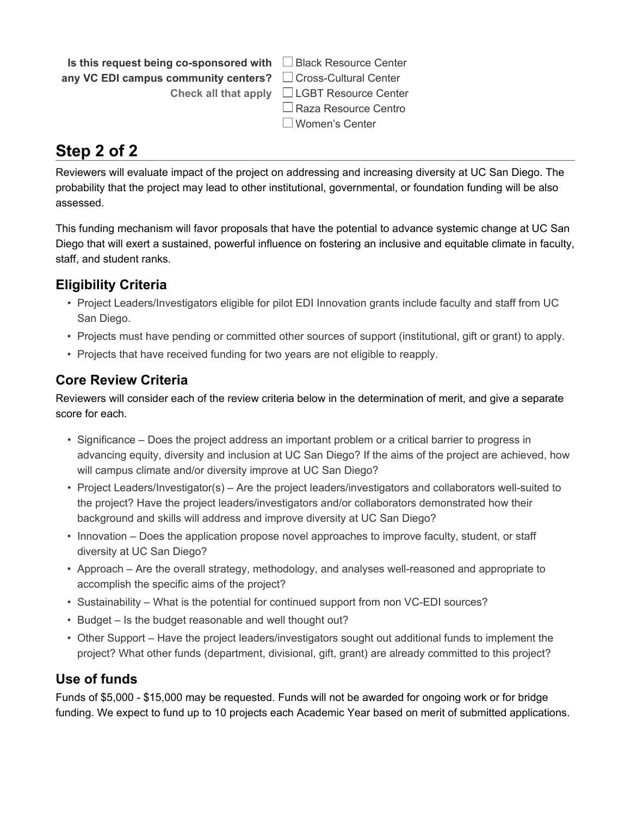**Is this request being co-sponsored with** □Black Resource Center **any VC EDI campus community centers?** □ Cross-Cultural Center

**Check all that apply** LGBT Resource Center ■ Raza Resource Centro Women's Center

# **Step 2 of 2**

Reviewers will evaluate impact of the project on addressing and increasing diversity at UC San Diego. The probability that the project may lead to other institutional, governmental, or foundation funding will be also assessed.

This funding mechanism will favor proposals that have the potential to advance systemic change at UC San Diego that will exert a sustained, powerful influence on fostering an inclusive and equitable climate in faculty, staff, and student ranks.

## **Eligibility Criteria**

- Project Leaders/Investigators eligible for pilot EDI Innovation grants include faculty and staff from UC San Diego.
- Projects must have pending or committed other sources of support (institutional, gift or grant) to apply.
- Projects that have received funding for two years are not eligible to reapply.

### **Core Review Criteria**

Reviewers will consider each of the review criteria below in the determination of merit, and give a separate score for each.

- Significance Does the project address an important problem or a critical barrier to progress in advancing equity, diversity and inclusion at UC San Diego? If the aims of the project are achieved, how will campus climate and/or diversity improve at UC San Diego?
- Project Leaders/Investigator(s) Are the project leaders/investigators and collaborators well-suited to the project? Have the project leaders/investigators and/or collaborators demonstrated how their background and skills will address and improve diversity at UC San Diego?
- Innovation Does the application propose novel approaches to improve faculty, student, or staff diversity at UC San Diego?
- Approach Are the overall strategy, methodology, and analyses well-reasoned and appropriate to accomplish the specific aims of the project?
- Sustainability What is the potential for continued support from non VC-EDI sources?
- Budget Is the budget reasonable and well thought out?
- Other Support Have the project leaders/investigators sought out additional funds to implement the project? What other funds (department, divisional, gift, grant) are already committed to this project?

### **Use of funds**

Funds of \$5,000 - \$15,000 may be requested. Funds will not be awarded for ongoing work or for bridge funding. We expect to fund up to 10 projects each Academic Year based on merit of submitted applications.